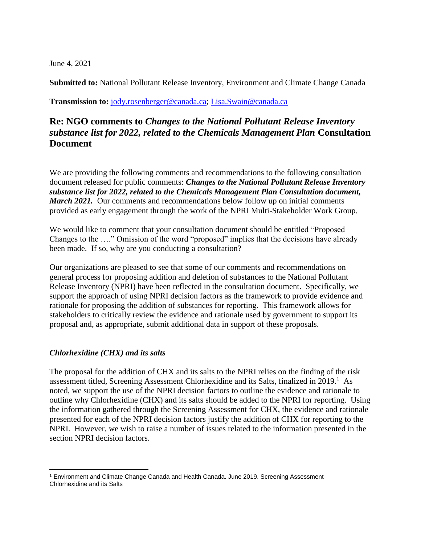June 4, 2021

**Submitted to:** National Pollutant Release Inventory, Environment and Climate Change Canada

**Transmission to:** [jody.rosenberger@canada.ca;](mailto:jody.rosenberger@canada.ca) [Lisa.Swain@canada.ca](mailto:Lisa.Swain@canada.ca)

## **Re: NGO comments to** *Changes to the National Pollutant Release Inventory substance list for 2022, related to the Chemicals Management Plan* **Consultation Document**

We are providing the following comments and recommendations to the following consultation document released for public comments: *Changes to the National Pollutant Release Inventory substance list for 2022, related to the Chemicals Management Plan Consultation document, March 2021.* Our comments and recommendations below follow up on initial comments provided as early engagement through the work of the NPRI Multi-Stakeholder Work Group.

We would like to comment that your consultation document should be entitled "Proposed Changes to the …." Omission of the word "proposed" implies that the decisions have already been made. If so, why are you conducting a consultation?

Our organizations are pleased to see that some of our comments and recommendations on general process for proposing addition and deletion of substances to the National Pollutant Release Inventory (NPRI) have been reflected in the consultation document. Specifically, we support the approach of using NPRI decision factors as the framework to provide evidence and rationale for proposing the addition of substances for reporting. This framework allows for stakeholders to critically review the evidence and rationale used by government to support its proposal and, as appropriate, submit additional data in support of these proposals.

#### *Chlorhexidine (CHX) and its salts*

 $\overline{a}$ 

The proposal for the addition of CHX and its salts to the NPRI relies on the finding of the risk assessment titled, Screening Assessment Chlorhexidine and its Salts, finalized in 2019.<sup>1</sup> As noted, we support the use of the NPRI decision factors to outline the evidence and rationale to outline why Chlorhexidine (CHX) and its salts should be added to the NPRI for reporting. Using the information gathered through the Screening Assessment for CHX, the evidence and rationale presented for each of the NPRI decision factors justify the addition of CHX for reporting to the NPRI. However, we wish to raise a number of issues related to the information presented in the section NPRI decision factors.

<sup>1</sup> Environment and Climate Change Canada and Health Canada. June 2019. Screening Assessment Chlorhexidine and its Salts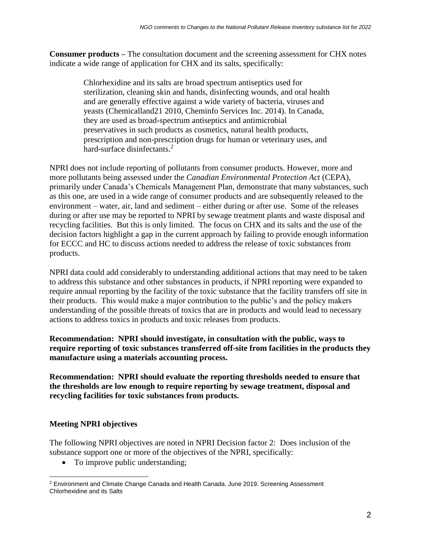**Consumer products –** The consultation document and the screening assessment for CHX notes indicate a wide range of application for CHX and its salts, specifically:

> Chlorhexidine and its salts are broad spectrum antiseptics used for sterilization, cleaning skin and hands, disinfecting wounds, and oral health and are generally effective against a wide variety of bacteria, viruses and yeasts (Chemicalland21 2010, Cheminfo Services Inc. 2014). In Canada, they are used as broad-spectrum antiseptics and antimicrobial preservatives in such products as cosmetics, natural health products, prescription and non-prescription drugs for human or veterinary uses, and hard-surface disinfectants.<sup>2</sup>

NPRI does not include reporting of pollutants from consumer products. However, more and more pollutants being assessed under the *Canadian Environmental Protection Act* (CEPA), primarily under Canada's Chemicals Management Plan, demonstrate that many substances, such as this one, are used in a wide range of consumer products and are subsequently released to the environment – water, air, land and sediment – either during or after use. Some of the releases during or after use may be reported to NPRI by sewage treatment plants and waste disposal and recycling facilities. But this is only limited. The focus on CHX and its salts and the use of the decision factors highlight a gap in the current approach by failing to provide enough information for ECCC and HC to discuss actions needed to address the release of toxic substances from products.

NPRI data could add considerably to understanding additional actions that may need to be taken to address this substance and other substances in products, if NPRI reporting were expanded to require annual reporting by the facility of the toxic substance that the facility transfers off site in their products. This would make a major contribution to the public's and the policy makers understanding of the possible threats of toxics that are in products and would lead to necessary actions to address toxics in products and toxic releases from products.

**Recommendation: NPRI should investigate, in consultation with the public, ways to require reporting of toxic substances transferred off-site from facilities in the products they manufacture using a materials accounting process.**

**Recommendation: NPRI should evaluate the reporting thresholds needed to ensure that the thresholds are low enough to require reporting by sewage treatment, disposal and recycling facilities for toxic substances from products.** 

### **Meeting NPRI objectives**

The following NPRI objectives are noted in NPRI Decision factor 2: Does inclusion of the substance support one or more of the objectives of the NPRI, specifically:

• To improve public understanding;

 $\overline{a}$ <sup>2</sup> Environment and Climate Change Canada and Health Canada. June 2019. Screening Assessment Chlorhexidine and its Salts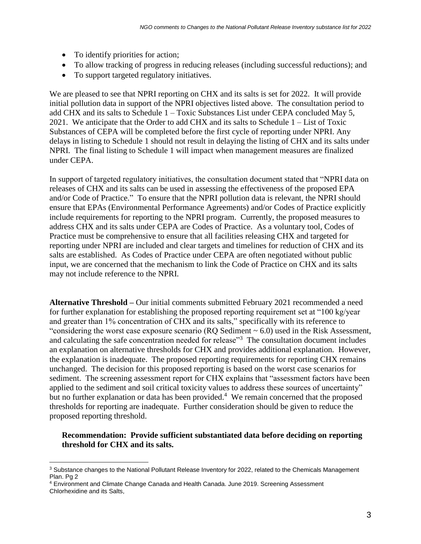- To identify priorities for action;
- To allow tracking of progress in reducing releases (including successful reductions); and
- To support targeted regulatory initiatives.

We are pleased to see that NPRI reporting on CHX and its salts is set for 2022. It will provide initial pollution data in support of the NPRI objectives listed above. The consultation period to add CHX and its salts to Schedule 1 – Toxic Substances List under CEPA concluded May 5, 2021. We anticipate that the Order to add CHX and its salts to Schedule 1 – List of Toxic Substances of CEPA will be completed before the first cycle of reporting under NPRI. Any delays in listing to Schedule 1 should not result in delaying the listing of CHX and its salts under NPRI. The final listing to Schedule 1 will impact when management measures are finalized under CEPA.

In support of targeted regulatory initiatives, the consultation document stated that "NPRI data on releases of CHX and its salts can be used in assessing the effectiveness of the proposed EPA and/or Code of Practice." To ensure that the NPRI pollution data is relevant, the NPRI should ensure that EPAs (Environmental Performance Agreements) and/or Codes of Practice explicitly include requirements for reporting to the NPRI program. Currently, the proposed measures to address CHX and its salts under CEPA are Codes of Practice. As a voluntary tool, Codes of Practice must be comprehensive to ensure that all facilities releasing CHX and targeted for reporting under NPRI are included and clear targets and timelines for reduction of CHX and its salts are established. As Codes of Practice under CEPA are often negotiated without public input, we are concerned that the mechanism to link the Code of Practice on CHX and its salts may not include reference to the NPRI.

**Alternative Threshold –** Our initial comments submitted February 2021 recommended a need for further explanation for establishing the proposed reporting requirement set at "100 kg/year and greater than 1% concentration of CHX and its salts," specifically with its reference to "considering the worst case exposure scenario ( $RQ$  Sediment  $\sim$  6.0) used in the Risk Assessment, and calculating the safe concentration needed for release<sup>33</sup> The consultation document includes an explanation on alternative thresholds for CHX and provides additional explanation. However, the explanation is inadequate. The proposed reporting requirements for reporting CHX remains unchanged. The decision for this proposed reporting is based on the worst case scenarios for sediment. The screening assessment report for CHX explains that "assessment factors have been applied to the sediment and soil critical toxicity values to address these sources of uncertainty" but no further explanation or data has been provided.<sup>4</sup> We remain concerned that the proposed thresholds for reporting are inadequate. Further consideration should be given to reduce the proposed reporting threshold.

#### **Recommendation: Provide sufficient substantiated data before deciding on reporting threshold for CHX and its salts.**

 $\overline{a}$ 

<sup>&</sup>lt;sup>3</sup> Substance changes to the National Pollutant Release Inventory for 2022, related to the Chemicals Management Plan. Pg 2

<sup>4</sup> Environment and Climate Change Canada and Health Canada. June 2019. Screening Assessment Chlorhexidine and its Salts,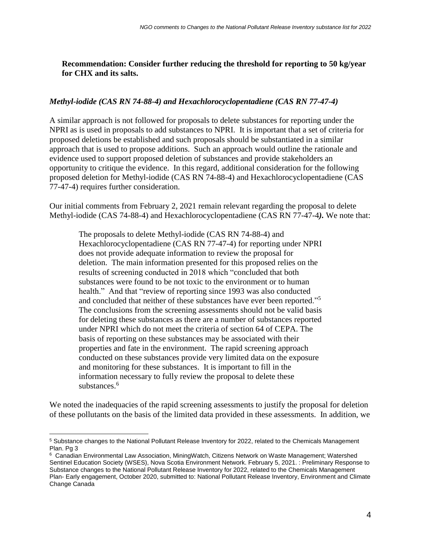**Recommendation: Consider further reducing the threshold for reporting to 50 kg/year for CHX and its salts.**

#### *Methyl-iodide (CAS RN 74-88-4) and Hexachlorocyclopentadiene (CAS RN 77-47-4)*

A similar approach is not followed for proposals to delete substances for reporting under the NPRI as is used in proposals to add substances to NPRI. It is important that a set of criteria for proposed deletions be established and such proposals should be substantiated in a similar approach that is used to propose additions. Such an approach would outline the rationale and evidence used to support proposed deletion of substances and provide stakeholders an opportunity to critique the evidence. In this regard, additional consideration for the following proposed deletion for Methyl-iodide (CAS RN 74-88-4) and Hexachlorocyclopentadiene (CAS 77-47-4) requires further consideration.

Our initial comments from February 2, 2021 remain relevant regarding the proposal to delete Methyl-iodide (CAS 74-88-4) and Hexachlorocyclopentadiene (CAS RN 77-47-4*).* We note that:

The proposals to delete Methyl-iodide (CAS RN 74-88-4) and Hexachlorocyclopentadiene (CAS RN 77-47-4) for reporting under NPRI does not provide adequate information to review the proposal for deletion. The main information presented for this proposed relies on the results of screening conducted in 2018 which "concluded that both substances were found to be not toxic to the environment or to human health." And that "review of reporting since 1993 was also conducted and concluded that neither of these substances have ever been reported."<sup>5</sup> The conclusions from the screening assessments should not be valid basis for deleting these substances as there are a number of substances reported under NPRI which do not meet the criteria of section 64 of CEPA. The basis of reporting on these substances may be associated with their properties and fate in the environment. The rapid screening approach conducted on these substances provide very limited data on the exposure and monitoring for these substances. It is important to fill in the information necessary to fully review the proposal to delete these substances.<sup>6</sup>

We noted the inadequacies of the rapid screening assessments to justify the proposal for deletion of these pollutants on the basis of the limited data provided in these assessments. In addition, we

 $\overline{a}$ <sup>5</sup> Substance changes to the National Pollutant Release Inventory for 2022, related to the Chemicals Management Plan. Pg 3

<sup>6</sup> Canadian Environmental Law Association, MiningWatch, Citizens Network on Waste Management; Watershed Sentinel Education Society (WSES), Nova Scotia Environment Network. February 5, 2021. : Preliminary Response to Substance changes to the National Pollutant Release Inventory for 2022, related to the Chemicals Management Plan- Early engagement, October 2020, submitted to: National Pollutant Release Inventory, Environment and Climate Change Canada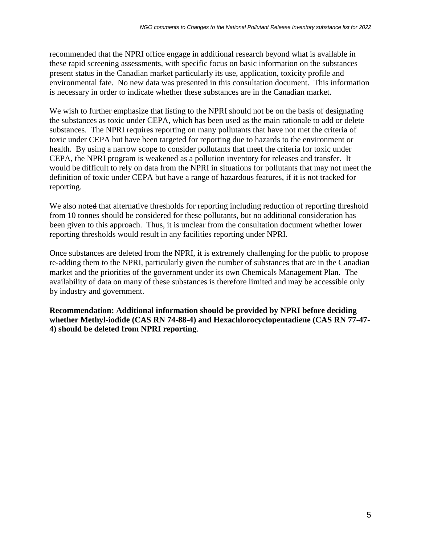recommended that the NPRI office engage in additional research beyond what is available in these rapid screening assessments, with specific focus on basic information on the substances present status in the Canadian market particularly its use, application, toxicity profile and environmental fate. No new data was presented in this consultation document. This information is necessary in order to indicate whether these substances are in the Canadian market.

We wish to further emphasize that listing to the NPRI should not be on the basis of designating the substances as toxic under CEPA, which has been used as the main rationale to add or delete substances. The NPRI requires reporting on many pollutants that have not met the criteria of toxic under CEPA but have been targeted for reporting due to hazards to the environment or health. By using a narrow scope to consider pollutants that meet the criteria for toxic under CEPA, the NPRI program is weakened as a pollution inventory for releases and transfer. It would be difficult to rely on data from the NPRI in situations for pollutants that may not meet the definition of toxic under CEPA but have a range of hazardous features, if it is not tracked for reporting.

We also noted that alternative thresholds for reporting including reduction of reporting threshold from 10 tonnes should be considered for these pollutants, but no additional consideration has been given to this approach. Thus, it is unclear from the consultation document whether lower reporting thresholds would result in any facilities reporting under NPRI.

Once substances are deleted from the NPRI, it is extremely challenging for the public to propose re-adding them to the NPRI, particularly given the number of substances that are in the Canadian market and the priorities of the government under its own Chemicals Management Plan. The availability of data on many of these substances is therefore limited and may be accessible only by industry and government.

**Recommendation: Additional information should be provided by NPRI before deciding whether Methyl-iodide (CAS RN 74-88-4) and Hexachlorocyclopentadiene (CAS RN 77-47- 4) should be deleted from NPRI reporting**.